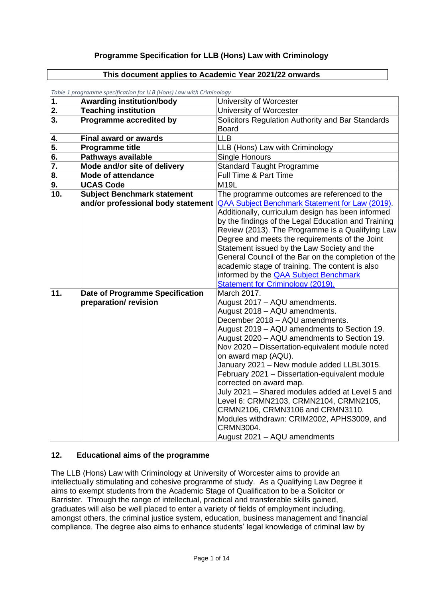## **Programme Specification for LLB (Hons) Law with Criminology**

#### **This document applies to Academic Year 2021/22 onwards**

| $\overline{1}$ . | <b>Awarding institution/body</b>   | University of Worcester                                                   |
|------------------|------------------------------------|---------------------------------------------------------------------------|
| 2.               | <b>Teaching institution</b>        | University of Worcester                                                   |
| 3.               | <b>Programme accredited by</b>     | Solicitors Regulation Authority and Bar Standards                         |
|                  |                                    | <b>Board</b>                                                              |
| 4.               | <b>Final award or awards</b>       | <b>LLB</b>                                                                |
| 5.               | <b>Programme title</b>             | LLB (Hons) Law with Criminology                                           |
| 6.               | <b>Pathways available</b>          | Single Honours                                                            |
| 7.               | Mode and/or site of delivery       | <b>Standard Taught Programme</b>                                          |
| 8.               | <b>Mode of attendance</b>          | Full Time & Part Time                                                     |
| 9.               | <b>UCAS Code</b>                   | <b>M19L</b>                                                               |
| 10.              | Subject Benchmark statement        | The programme outcomes are referenced to the                              |
|                  | and/or professional body statement | QAA Subject Benchmark Statement for Law (2019).                           |
|                  |                                    | Additionally, curriculum design has been informed                         |
|                  |                                    | by the findings of the Legal Education and Training                       |
|                  |                                    | Review (2013). The Programme is a Qualifying Law                          |
|                  |                                    | Degree and meets the requirements of the Joint                            |
|                  |                                    | Statement issued by the Law Society and the                               |
|                  |                                    | General Council of the Bar on the completion of the                       |
|                  |                                    | academic stage of training. The content is also                           |
|                  |                                    | informed by the <b>QAA Subject Benchmark</b>                              |
|                  |                                    | <b>Statement for Criminology (2019).</b>                                  |
| 11.              | Date of Programme Specification    | March 2017.                                                               |
|                  | preparation/revision               | August 2017 - AQU amendments.                                             |
|                  |                                    | August 2018 - AQU amendments.                                             |
|                  |                                    | December 2018 - AQU amendments.                                           |
|                  |                                    | August 2019 - AQU amendments to Section 19.                               |
|                  |                                    | August 2020 - AQU amendments to Section 19.                               |
|                  |                                    | Nov 2020 - Dissertation-equivalent module noted                           |
|                  |                                    | on award map (AQU).                                                       |
|                  |                                    | January 2021 - New module added LLBL3015.                                 |
|                  |                                    | February 2021 - Dissertation-equivalent module<br>corrected on award map. |
|                  |                                    | July 2021 - Shared modules added at Level 5 and                           |
|                  |                                    | Level 6: CRMN2103, CRMN2104, CRMN2105,                                    |
|                  |                                    | CRMN2106, CRMN3106 and CRMN3110.                                          |
|                  |                                    | Modules withdrawn: CRIM2002, APHS3009, and                                |
|                  |                                    | CRMN3004.                                                                 |
|                  |                                    | August 2021 - AQU amendments                                              |
|                  |                                    |                                                                           |

*Table 1 programme specification for LLB (Hons) Law with Criminology* 

## **12. Educational aims of the programme**

The LLB (Hons) Law with Criminology at University of Worcester aims to provide an intellectually stimulating and cohesive programme of study. As a Qualifying Law Degree it aims to exempt students from the Academic Stage of Qualification to be a Solicitor or Barrister. Through the range of intellectual, practical and transferable skills gained, graduates will also be well placed to enter a variety of fields of employment including, amongst others, the criminal justice system, education, business management and financial compliance. The degree also aims to enhance students' legal knowledge of criminal law by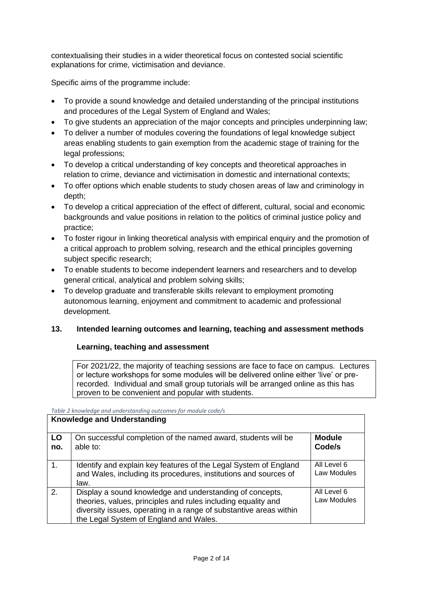contextualising their studies in a wider theoretical focus on contested social scientific explanations for crime, victimisation and deviance.

Specific aims of the programme include:

- To provide a sound knowledge and detailed understanding of the principal institutions and procedures of the Legal System of England and Wales;
- To give students an appreciation of the major concepts and principles underpinning law;
- To deliver a number of modules covering the foundations of legal knowledge subject areas enabling students to gain exemption from the academic stage of training for the legal professions;
- To develop a critical understanding of key concepts and theoretical approaches in relation to crime, deviance and victimisation in domestic and international contexts;
- To offer options which enable students to study chosen areas of law and criminology in depth;
- To develop a critical appreciation of the effect of different, cultural, social and economic backgrounds and value positions in relation to the politics of criminal justice policy and practice;
- To foster rigour in linking theoretical analysis with empirical enquiry and the promotion of a critical approach to problem solving, research and the ethical principles governing subject specific research;
- To enable students to become independent learners and researchers and to develop general critical, analytical and problem solving skills;
- To develop graduate and transferable skills relevant to employment promoting autonomous learning, enjoyment and commitment to academic and professional development.

# **13. Intended learning outcomes and learning, teaching and assessment methods**

### **Learning, teaching and assessment**

For 2021/22, the majority of teaching sessions are face to face on campus. Lectures or lecture workshops for some modules will be delivered online either 'live' or prerecorded. Individual and small group tutorials will be arranged online as this has proven to be convenient and popular with students.

*Table 2 knowledge and understanding outcomes for module code/s*

|                | <b>Knowledge and Understanding</b>                                                                                                                                                                                                        |                            |
|----------------|-------------------------------------------------------------------------------------------------------------------------------------------------------------------------------------------------------------------------------------------|----------------------------|
| LO<br>no.      | On successful completion of the named award, students will be<br>able to:                                                                                                                                                                 | <b>Module</b><br>Code/s    |
| $\mathbf{1}$ . | Identify and explain key features of the Legal System of England<br>and Wales, including its procedures, institutions and sources of<br>law.                                                                                              | All Level 6<br>Law Modules |
| 2.             | Display a sound knowledge and understanding of concepts,<br>theories, values, principles and rules including equality and<br>diversity issues, operating in a range of substantive areas within<br>the Legal System of England and Wales. | All Level 6<br>Law Modules |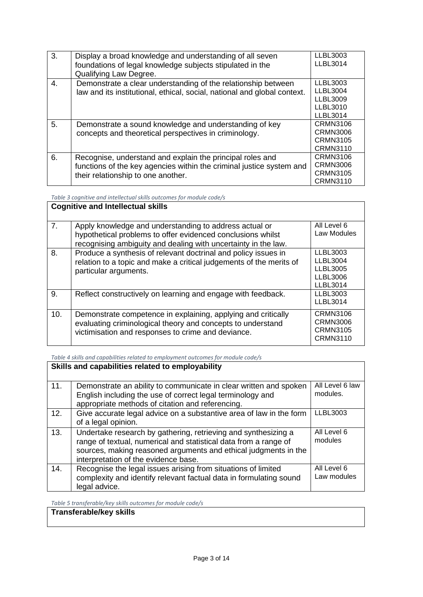| 3. | Display a broad knowledge and understanding of all seven<br>foundations of legal knowledge subjects stipulated in the<br>Qualifying Law Degree.                         | LLBL3003<br><b>LLBL3014</b>                                                   |
|----|-------------------------------------------------------------------------------------------------------------------------------------------------------------------------|-------------------------------------------------------------------------------|
| 4. | Demonstrate a clear understanding of the relationship between<br>law and its institutional, ethical, social, national and global context.                               | LLBL3003<br><b>LLBL3004</b><br><b>LLBL3009</b><br>LLBL3010<br><b>LLBL3014</b> |
| 5. | Demonstrate a sound knowledge and understanding of key<br>concepts and theoretical perspectives in criminology.                                                         | <b>CRMN3106</b><br>CRMN3006<br>CRMN3105<br><b>CRMN3110</b>                    |
| 6. | Recognise, understand and explain the principal roles and<br>functions of the key agencies within the criminal justice system and<br>their relationship to one another. | CRMN3106<br><b>CRMN3006</b><br><b>CRMN3105</b><br><b>CRMN3110</b>             |

*Table 3 cognitive and intellectual skills outcomes for module code/s*

|     | <b>Cognitive and Intellectual skills</b>                                                                                                                                                |                                                                                      |
|-----|-----------------------------------------------------------------------------------------------------------------------------------------------------------------------------------------|--------------------------------------------------------------------------------------|
| 7.  | Apply knowledge and understanding to address actual or<br>hypothetical problems to offer evidenced conclusions whilst<br>recognising ambiguity and dealing with uncertainty in the law. | All Level 6<br>Law Modules                                                           |
| 8.  | Produce a synthesis of relevant doctrinal and policy issues in<br>relation to a topic and make a critical judgements of the merits of<br>particular arguments.                          | LLBL3003<br><b>LLBL3004</b><br><b>LLBL3005</b><br><b>LLBL3006</b><br><b>LLBL3014</b> |
| 9.  | Reflect constructively on learning and engage with feedback.                                                                                                                            | LLBL3003<br><b>LLBL3014</b>                                                          |
| 10. | Demonstrate competence in explaining, applying and critically<br>evaluating criminological theory and concepts to understand<br>victimisation and responses to crime and deviance.      | <b>CRMN3106</b><br>CRMN3006<br><b>CRMN3105</b><br><b>CRMN3110</b>                    |

*Table 4 skills and capabilities related to employment outcomes for module code/s*

|     | Skills and capabilities related to employability                                                                                                                                                                                              |                             |
|-----|-----------------------------------------------------------------------------------------------------------------------------------------------------------------------------------------------------------------------------------------------|-----------------------------|
| 11. | Demonstrate an ability to communicate in clear written and spoken<br>English including the use of correct legal terminology and<br>appropriate methods of citation and referencing.                                                           | All Level 6 law<br>modules. |
| 12. | Give accurate legal advice on a substantive area of law in the form<br>of a legal opinion.                                                                                                                                                    | <b>LLBL3003</b>             |
| 13. | Undertake research by gathering, retrieving and synthesizing a<br>range of textual, numerical and statistical data from a range of<br>sources, making reasoned arguments and ethical judgments in the<br>interpretation of the evidence base. | All Level 6<br>modules      |
| 14. | Recognise the legal issues arising from situations of limited<br>complexity and identify relevant factual data in formulating sound<br>legal advice.                                                                                          | All Level 6<br>Law modules  |

*Table 5 transferable/key skills outcomes for module code/s*

#### **Transferable/key skills**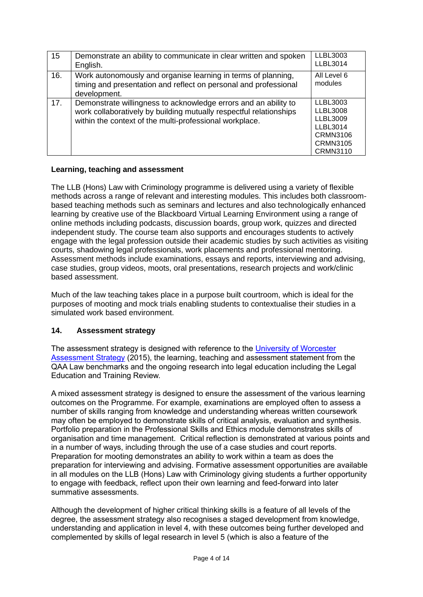| 15  | Demonstrate an ability to communicate in clear written and spoken<br>English.                                                                                                                    | <b>LLBL3003</b><br><b>LLBL3014</b>                                                                                                |
|-----|--------------------------------------------------------------------------------------------------------------------------------------------------------------------------------------------------|-----------------------------------------------------------------------------------------------------------------------------------|
| 16. | Work autonomously and organise learning in terms of planning,<br>timing and presentation and reflect on personal and professional<br>development.                                                | All Level 6<br>modules                                                                                                            |
| 17. | Demonstrate willingness to acknowledge errors and an ability to<br>work collaboratively by building mutually respectful relationships<br>within the context of the multi-professional workplace. | <b>LLBL3003</b><br><b>LLBL3008</b><br><b>LLBL3009</b><br><b>LLBL3014</b><br><b>CRMN3106</b><br><b>CRMN3105</b><br><b>CRMN3110</b> |

## **Learning, teaching and assessment**

The LLB (Hons) Law with Criminology programme is delivered using a variety of flexible methods across a range of relevant and interesting modules. This includes both classroombased teaching methods such as seminars and lectures and also technologically enhanced learning by creative use of the Blackboard Virtual Learning Environment using a range of online methods including podcasts, discussion boards, group work, quizzes and directed independent study. The course team also supports and encourages students to actively engage with the legal profession outside their academic studies by such activities as visiting courts, shadowing legal professionals, work placements and professional mentoring. Assessment methods include examinations, essays and reports, interviewing and advising, case studies, group videos, moots, oral presentations, research projects and work/clinic based assessment.

Much of the law teaching takes place in a purpose built courtroom, which is ideal for the purposes of mooting and mock trials enabling students to contextualise their studies in a simulated work based environment.

# **14. Assessment strategy**

The assessment strategy is designed with reference to the [University of Worcester](http://www.worcester.ac.uk/aqu/documents/AssessmentPolicy.pdf)  [Assessment Strategy](http://www.worcester.ac.uk/aqu/documents/AssessmentPolicy.pdf) (2015), the learning, teaching and assessment statement from the QAA Law benchmarks and the ongoing research into legal education including the Legal Education and Training Review.

A mixed assessment strategy is designed to ensure the assessment of the various learning outcomes on the Programme. For example, examinations are employed often to assess a number of skills ranging from knowledge and understanding whereas written coursework may often be employed to demonstrate skills of critical analysis, evaluation and synthesis. Portfolio preparation in the Professional Skills and Ethics module demonstrates skills of organisation and time management. Critical reflection is demonstrated at various points and in a number of ways, including through the use of a case studies and court reports. Preparation for mooting demonstrates an ability to work within a team as does the preparation for interviewing and advising. Formative assessment opportunities are available in all modules on the LLB (Hons) Law with Criminology giving students a further opportunity to engage with feedback, reflect upon their own learning and feed-forward into later summative assessments.

Although the development of higher critical thinking skills is a feature of all levels of the degree, the assessment strategy also recognises a staged development from knowledge, understanding and application in level 4, with these outcomes being further developed and complemented by skills of legal research in level 5 (which is also a feature of the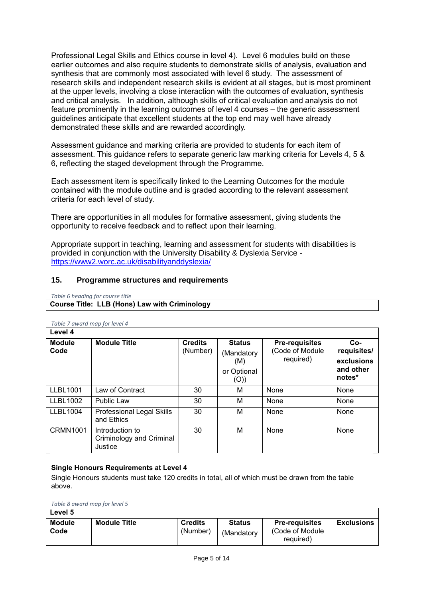Professional Legal Skills and Ethics course in level 4). Level 6 modules build on these earlier outcomes and also require students to demonstrate skills of analysis, evaluation and synthesis that are commonly most associated with level 6 study. The assessment of research skills and independent research skills is evident at all stages, but is most prominent at the upper levels, involving a close interaction with the outcomes of evaluation, synthesis and critical analysis. In addition, although skills of critical evaluation and analysis do not feature prominently in the learning outcomes of level 4 courses – the generic assessment guidelines anticipate that excellent students at the top end may well have already demonstrated these skills and are rewarded accordingly.

Assessment guidance and marking criteria are provided to students for each item of assessment. This guidance refers to separate generic law marking criteria for Levels 4, 5 & 6, reflecting the staged development through the Programme.

Each assessment item is specifically linked to the Learning Outcomes for the module contained with the module outline and is graded according to the relevant assessment criteria for each level of study.

There are opportunities in all modules for formative assessment, giving students the opportunity to receive feedback and to reflect upon their learning.

Appropriate support in teaching, learning and assessment for students with disabilities is provided in conjunction with the University Disability & Dyslexia Service <https://www2.worc.ac.uk/disabilityanddyslexia/>

### **15. Programme structures and requirements**

*Table 6 heading for course title*

## **Course Title: LLB (Hons) Law with Criminology**

| Level 4               |                                                        |                            |                                                           |                                                       |                                                           |  |  |
|-----------------------|--------------------------------------------------------|----------------------------|-----------------------------------------------------------|-------------------------------------------------------|-----------------------------------------------------------|--|--|
| <b>Module</b><br>Code | <b>Module Title</b>                                    | <b>Credits</b><br>(Number) | <b>Status</b><br>(Mandatory<br>(M)<br>or Optional<br>(O)) | <b>Pre-requisites</b><br>(Code of Module<br>required) | $Co-$<br>requisites/<br>exclusions<br>and other<br>notes* |  |  |
| <b>LLBL1001</b>       | Law of Contract                                        | 30                         | м                                                         | None                                                  | None                                                      |  |  |
| <b>LLBL1002</b>       | <b>Public Law</b>                                      | 30                         | м                                                         | None                                                  | None                                                      |  |  |
| <b>LLBL1004</b>       | Professional Legal Skills<br>and Ethics                | 30                         | М                                                         | None                                                  | None                                                      |  |  |
| <b>CRMN1001</b>       | Introduction to<br>Criminology and Criminal<br>Justice | 30                         | м                                                         | None                                                  | None                                                      |  |  |

*Table 7 award map for level 4* 

#### **Single Honours Requirements at Level 4**

Single Honours students must take 120 credits in total, all of which must be drawn from the table above.

*Table 8 award map for level 5* 

| Level 5               |                     |                            |                             |                                                        |                   |
|-----------------------|---------------------|----------------------------|-----------------------------|--------------------------------------------------------|-------------------|
| <b>Module</b><br>Code | <b>Module Title</b> | <b>Credits</b><br>(Number) | <b>Status</b><br>(Mandatory | <b>Pre-requisites</b><br>(Code of Module)<br>required) | <b>Exclusions</b> |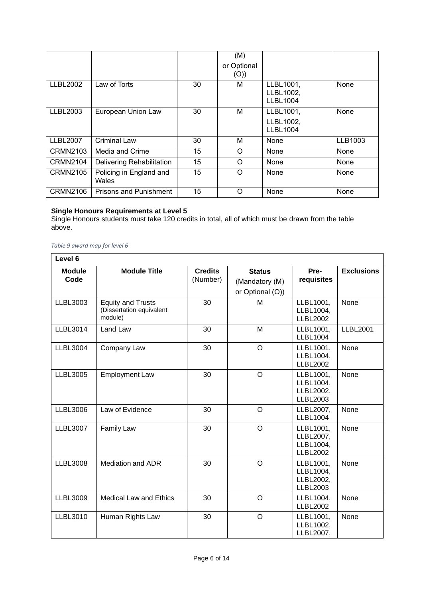|                 |                                  |    | (M)<br>or Optional<br>(O)) |                                           |         |
|-----------------|----------------------------------|----|----------------------------|-------------------------------------------|---------|
| <b>LLBL2002</b> | Law of Torts                     | 30 | м                          | LLBL1001,<br>LLBL1002,<br><b>LLBL1004</b> | None    |
| <b>LLBL2003</b> | European Union Law               | 30 | М                          | LLBL1001,<br>LLBL1002,<br><b>LLBL1004</b> | None    |
| <b>LLBL2007</b> | <b>Criminal Law</b>              | 30 | M                          | None                                      | LLB1003 |
| <b>CRMN2103</b> | Media and Crime                  | 15 | O                          | None                                      | None    |
| <b>CRMN2104</b> | Delivering Rehabilitation        | 15 | $\Omega$                   | None                                      | None    |
| <b>CRMN2105</b> | Policing in England and<br>Wales | 15 | $\Omega$                   | None                                      | None    |
| <b>CRMN2106</b> | <b>Prisons and Punishment</b>    | 15 | O                          | None                                      | None    |

#### **Single Honours Requirements at Level 5**

Single Honours students must take 120 credits in total, all of which must be drawn from the table above.

#### *Table 9 award map for level 6*

 $\mathbf{r}$ 

| Level 6               |                                                                 |                            |                                                     |                                                        |                   |
|-----------------------|-----------------------------------------------------------------|----------------------------|-----------------------------------------------------|--------------------------------------------------------|-------------------|
| <b>Module</b><br>Code | <b>Module Title</b>                                             | <b>Credits</b><br>(Number) | <b>Status</b><br>(Mandatory (M)<br>or Optional (O)) | Pre-<br>requisites                                     | <b>Exclusions</b> |
| LLBL3003              | <b>Equity and Trusts</b><br>(Dissertation equivalent<br>module) | 30                         | M                                                   | LLBL1001,<br>LLBL1004,<br><b>LLBL2002</b>              | None              |
| <b>LLBL3014</b>       | Land Law                                                        | 30                         | M                                                   | LLBL1001,<br><b>LLBL1004</b>                           | <b>LLBL2001</b>   |
| <b>LLBL3004</b>       | Company Law                                                     | 30                         | $\circ$                                             | LLBL1001,<br>LLBL1004,<br><b>LLBL2002</b>              | None              |
| <b>LLBL3005</b>       | <b>Employment Law</b>                                           | 30                         | $\circ$                                             | LLBL1001,<br>LLBL1004,<br>LLBL2002,<br><b>LLBL2003</b> | None              |
| <b>LLBL3006</b>       | Law of Evidence                                                 | 30                         | O                                                   | LLBL2007,<br><b>LLBL1004</b>                           | None              |
| <b>LLBL3007</b>       | <b>Family Law</b>                                               | 30                         | $\circ$                                             | LLBL1001,<br>LLBL2007,<br>LLBL1004,<br><b>LLBL2002</b> | None              |
| <b>LLBL3008</b>       | <b>Mediation and ADR</b>                                        | 30                         | $\circ$                                             | LLBL1001,<br>LLBL1004,<br>LLBL2002,<br><b>LLBL2003</b> | None              |
| <b>LLBL3009</b>       | <b>Medical Law and Ethics</b>                                   | 30                         | $\Omega$                                            | LLBL1004,<br><b>LLBL2002</b>                           | None              |
| <b>LLBL3010</b>       | Human Rights Law                                                | 30                         | $\circ$                                             | LLBL1001,<br>LLBL1002,<br>LLBL2007,                    | None              |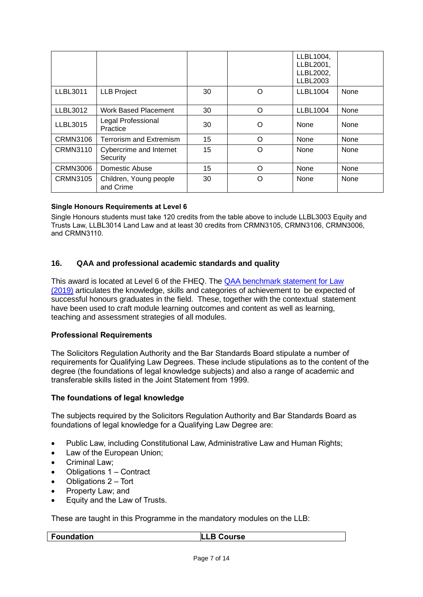|                 |                                     |    |          | LLBL1004,<br>LLBL2001,<br>LLBL2002,<br><b>LLBL2003</b> |      |
|-----------------|-------------------------------------|----|----------|--------------------------------------------------------|------|
| <b>LLBL3011</b> | <b>LLB Project</b>                  | 30 | O        | <b>LLBL1004</b>                                        | None |
| <b>LLBL3012</b> | <b>Work Based Placement</b>         | 30 | $\Omega$ | <b>LLBL1004</b>                                        | None |
| <b>LLBL3015</b> | Legal Professional<br>Practice      | 30 | O        | None                                                   | None |
| <b>CRMN3106</b> | <b>Terrorism and Extremism</b>      | 15 | $\Omega$ | None                                                   | None |
| <b>CRMN3110</b> | Cybercrime and Internet<br>Security | 15 | $\Omega$ | None                                                   | None |
| <b>CRMN3006</b> | Domestic Abuse                      | 15 | ∩        | None                                                   | None |
| <b>CRMN3105</b> | Children, Young people<br>and Crime | 30 | Ω        | None                                                   | None |

### **Single Honours Requirements at Level 6**

Single Honours students must take 120 credits from the table above to include LLBL3003 Equity and Trusts Law, LLBL3014 Land Law and at least 30 credits from CRMN3105, CRMN3106, CRMN3006, and CRMN3110.

### **16. QAA and professional academic standards and quality**

This award is located at Level 6 of the FHEQ. The [QAA benchmark statement for Law](https://www.qaa.ac.uk/docs/qaa/subject-benchmark-statements/subject-benchmark-statement-law.pdf?sfvrsn=b939c881_18)  [\(2019\)](https://www.qaa.ac.uk/docs/qaa/subject-benchmark-statements/subject-benchmark-statement-law.pdf?sfvrsn=b939c881_18) articulates the knowledge, skills and categories of achievement to be expected of successful honours graduates in the field. These, together with the contextual statement have been used to craft module learning outcomes and content as well as learning, teaching and assessment strategies of all modules.

### **Professional Requirements**

The Solicitors Regulation Authority and the Bar Standards Board stipulate a number of requirements for Qualifying Law Degrees. These include stipulations as to the content of the degree (the foundations of legal knowledge subjects) and also a range of academic and transferable skills listed in the Joint Statement from 1999.

### **The foundations of legal knowledge**

The subjects required by the Solicitors Regulation Authority and Bar Standards Board as foundations of legal knowledge for a Qualifying Law Degree are:

- Public Law, including Constitutional Law, Administrative Law and Human Rights;
- Law of the European Union;
- Criminal Law:
- Obligations 1 Contract
- Obligations 2 Tort
- Property Law; and
- Equity and the Law of Trusts.

These are taught in this Programme in the mandatory modules on the LLB:

**Foundation LLB Course**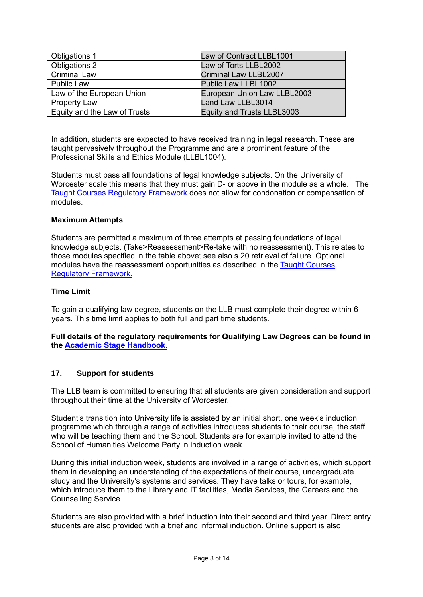| <b>Obligations 1</b>         | Law of Contract LLBL1001     |
|------------------------------|------------------------------|
| Obligations 2                | Law of Torts LLBL2002        |
| Criminal Law                 | <b>Criminal Law LLBL2007</b> |
| <b>Public Law</b>            | Public Law LLBL1002          |
| Law of the European Union    | European Union Law LLBL2003  |
| <b>Property Law</b>          | Land Law LLBL3014            |
| Equity and the Law of Trusts | Equity and Trusts LLBL3003   |

In addition, students are expected to have received training in legal research. These are taught pervasively throughout the Programme and are a prominent feature of the Professional Skills and Ethics Module (LLBL1004).

Students must pass all foundations of legal knowledge subjects. On the University of Worcester scale this means that they must gain D- or above in the module as a whole. The [Taught Courses Regulatory Framework](http://www.worcester.ac.uk/registryservices/documents/TaughtCoursesRegulatoryFramework.pdf) does not allow for condonation or compensation of modules.

## **Maximum Attempts**

Students are permitted a maximum of three attempts at passing foundations of legal knowledge subjects. (Take>Reassessment>Re-take with no reassessment). This relates to those modules specified in the table above; see also s.20 retrieval of failure. Optional modules have the reassessment opportunities as described in the [Taught Courses](http://www.worcester.ac.uk/registryservices/documents/TaughtCoursesRegulatoryFramework.pdf)  [Regulatory Framework.](http://www.worcester.ac.uk/registryservices/documents/TaughtCoursesRegulatoryFramework.pdf)

## **Time Limit**

To gain a qualifying law degree, students on the LLB must complete their degree within 6 years. This time limit applies to both full and part time students.

**Full details of the regulatory requirements for Qualifying Law Degrees can be found in the [Academic Stage Handbook.](http://www.sra.org.uk/students/academic-stage.page)**

### **17. Support for students**

The LLB team is committed to ensuring that all students are given consideration and support throughout their time at the University of Worcester.

Student's transition into University life is assisted by an initial short, one week's induction programme which through a range of activities introduces students to their course, the staff who will be teaching them and the School. Students are for example invited to attend the School of Humanities Welcome Party in induction week.

During this initial induction week, students are involved in a range of activities, which support them in developing an understanding of the expectations of their course, undergraduate study and the University's systems and services. They have talks or tours, for example, which introduce them to the Library and IT facilities, Media Services, the Careers and the Counselling Service.

Students are also provided with a brief induction into their second and third year. Direct entry students are also provided with a brief and informal induction. Online support is also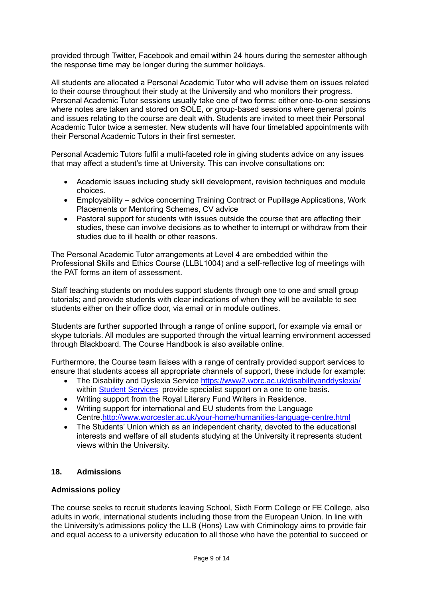provided through Twitter, Facebook and email within 24 hours during the semester although the response time may be longer during the summer holidays.

All students are allocated a Personal Academic Tutor who will advise them on issues related to their course throughout their study at the University and who monitors their progress. Personal Academic Tutor sessions usually take one of two forms: either one-to-one sessions where notes are taken and stored on SOLE, or group-based sessions where general points and issues relating to the course are dealt with. Students are invited to meet their Personal Academic Tutor twice a semester. New students will have four timetabled appointments with their Personal Academic Tutors in their first semester.

Personal Academic Tutors fulfil a multi-faceted role in giving students advice on any issues that may affect a student's time at University. This can involve consultations on:

- Academic issues including study skill development, revision techniques and module choices.
- Employability advice concerning Training Contract or Pupillage Applications, Work Placements or Mentoring Schemes, CV advice
- Pastoral support for students with issues outside the course that are affecting their studies, these can involve decisions as to whether to interrupt or withdraw from their studies due to ill health or other reasons.

The Personal Academic Tutor arrangements at Level 4 are embedded within the Professional Skills and Ethics Course (LLBL1004) and a self-reflective log of meetings with the PAT forms an item of assessment.

Staff teaching students on modules support students through one to one and small group tutorials; and provide students with clear indications of when they will be available to see students either on their office door, via email or in module outlines.

Students are further supported through a range of online support, for example via email or skype tutorials. All modules are supported through the virtual learning environment accessed through Blackboard. The Course Handbook is also available online.

Furthermore, the Course team liaises with a range of centrally provided support services to ensure that students access all appropriate channels of support, these include for example:

- The Disability and Dyslexia Service<https://www2.worc.ac.uk/disabilityanddyslexia/> within **Student Services** provide specialist support on a one to one basis.
- Writing support from the Royal Literary Fund Writers in Residence.
- Writing support for international and EU students from the Language Centre[.http://www.worcester.ac.uk/your-home/humanities-language-centre.html](http://www.worcester.ac.uk/your-home/humanities-language-centre.html)
- The Students' Union which as an independent charity, devoted to the educational interests and welfare of all students studying at the University it represents student views within the University.

### **18. Admissions**

### **Admissions policy**

The course seeks to recruit students leaving School, Sixth Form College or FE College, also adults in work, international students including those from the European Union. In line with the University's admissions policy the LLB (Hons) Law with Criminology aims to provide fair and equal access to a university education to all those who have the potential to succeed or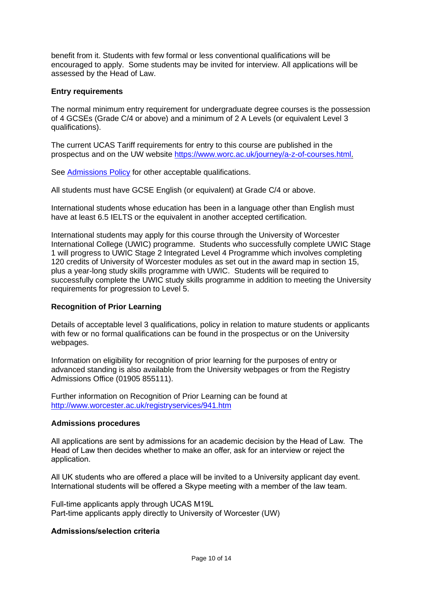benefit from it. Students with few formal or less conventional qualifications will be encouraged to apply. Some students may be invited for interview. All applications will be assessed by the Head of Law.

#### **Entry requirements**

The normal minimum entry requirement for undergraduate degree courses is the possession of 4 GCSEs (Grade C/4 or above) and a minimum of 2 A Levels (or equivalent Level 3 qualifications).

The current UCAS Tariff requirements for entry to this course are published in the prospectus and on the UW website [https://www.worc.ac.uk/journey/a-z-of-courses.html.](https://www.worc.ac.uk/journey/a-z-of-courses.html)

See [Admissions Policy](http://www.worcester.ac.uk/registryservices/documents/AdmissionsPolicy.pdf) for other acceptable qualifications.

All students must have GCSE English (or equivalent) at Grade C/4 or above.

International students whose education has been in a language other than English must have at least 6.5 IELTS or the equivalent in another accepted certification.

International students may apply for this course through the University of Worcester International College (UWIC) programme. Students who successfully complete UWIC Stage 1 will progress to UWIC Stage 2 Integrated Level 4 Programme which involves completing 120 credits of University of Worcester modules as set out in the award map in section 15, plus a year-long study skills programme with UWIC. Students will be required to successfully complete the UWIC study skills programme in addition to meeting the University requirements for progression to Level 5.

### **Recognition of Prior Learning**

Details of acceptable level 3 qualifications, policy in relation to mature students or applicants with few or no formal qualifications can be found in the prospectus or on the University webpages.

Information on eligibility for recognition of prior learning for the purposes of entry or advanced standing is also available from the University webpages or from the Registry Admissions Office (01905 855111).

Further information on Recognition of Prior Learning can be found at <http://www.worcester.ac.uk/registryservices/941.htm>

#### **Admissions procedures**

All applications are sent by admissions for an academic decision by the Head of Law. The Head of Law then decides whether to make an offer, ask for an interview or reject the application.

All UK students who are offered a place will be invited to a University applicant day event. International students will be offered a Skype meeting with a member of the law team.

Full-time applicants apply through UCAS M19L Part-time applicants apply directly to University of Worcester (UW)

## **Admissions/selection criteria**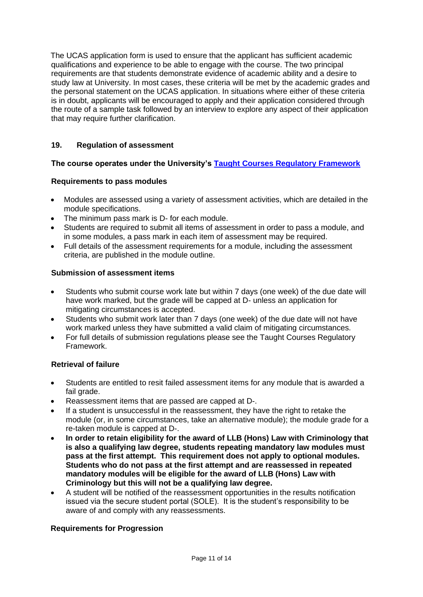The UCAS application form is used to ensure that the applicant has sufficient academic qualifications and experience to be able to engage with the course. The two principal requirements are that students demonstrate evidence of academic ability and a desire to study law at University. In most cases, these criteria will be met by the academic grades and the personal statement on the UCAS application. In situations where either of these criteria is in doubt, applicants will be encouraged to apply and their application considered through the route of a sample task followed by an interview to explore any aspect of their application that may require further clarification.

## **19. Regulation of assessment**

## **The course operates under the University's [Taught Courses Regulatory Framework](http://www.worcester.ac.uk/registryservices/documents/TaughtCoursesRegulatoryFramework.pdf)**

### **Requirements to pass modules**

- Modules are assessed using a variety of assessment activities, which are detailed in the module specifications.
- The minimum pass mark is D- for each module.
- Students are required to submit all items of assessment in order to pass a module, and in some modules, a pass mark in each item of assessment may be required.
- Full details of the assessment requirements for a module, including the assessment criteria, are published in the module outline.

### **Submission of assessment items**

- Students who submit course work late but within 7 days (one week) of the due date will have work marked, but the grade will be capped at D- unless an application for mitigating circumstances is accepted.
- Students who submit work later than 7 days (one week) of the due date will not have work marked unless they have submitted a valid claim of mitigating circumstances.
- For full details of submission regulations please see the Taught Courses Regulatory Framework.

### **Retrieval of failure**

- Students are entitled to resit failed assessment items for any module that is awarded a fail grade.
- Reassessment items that are passed are capped at D-.
- If a student is unsuccessful in the reassessment, they have the right to retake the module (or, in some circumstances, take an alternative module); the module grade for a re-taken module is capped at D-.
- **In order to retain eligibility for the award of LLB (Hons) Law with Criminology that is also a qualifying law degree, students repeating mandatory law modules must pass at the first attempt. This requirement does not apply to optional modules. Students who do not pass at the first attempt and are reassessed in repeated mandatory modules will be eligible for the award of LLB (Hons) Law with Criminology but this will not be a qualifying law degree.**
- A student will be notified of the reassessment opportunities in the results notification issued via the secure student portal (SOLE). It is the student's responsibility to be aware of and comply with any reassessments.

### **Requirements for Progression**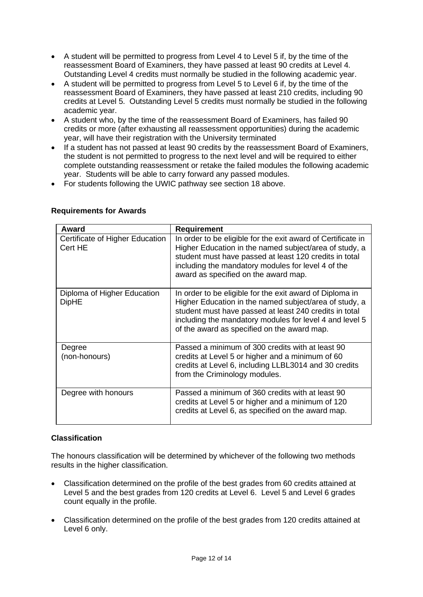- A student will be permitted to progress from Level 4 to Level 5 if, by the time of the reassessment Board of Examiners, they have passed at least 90 credits at Level 4. Outstanding Level 4 credits must normally be studied in the following academic year.
- A student will be permitted to progress from Level 5 to Level 6 if, by the time of the reassessment Board of Examiners, they have passed at least 210 credits, including 90 credits at Level 5. Outstanding Level 5 credits must normally be studied in the following academic year.
- A student who, by the time of the reassessment Board of Examiners, has failed 90 credits or more (after exhausting all reassessment opportunities) during the academic year, will have their registration with the University terminated
- If a student has not passed at least 90 credits by the reassessment Board of Examiners, the student is not permitted to progress to the next level and will be required to either complete outstanding reassessment or retake the failed modules the following academic year. Students will be able to carry forward any passed modules.
- For students following the UWIC pathway see section 18 above.

| Award                                       | <b>Requirement</b>                                                                                                                                                                                                                                                                     |
|---------------------------------------------|----------------------------------------------------------------------------------------------------------------------------------------------------------------------------------------------------------------------------------------------------------------------------------------|
| Certificate of Higher Education<br>Cert HE  | In order to be eligible for the exit award of Certificate in<br>Higher Education in the named subject/area of study, a<br>student must have passed at least 120 credits in total<br>including the mandatory modules for level 4 of the<br>award as specified on the award map.         |
| Diploma of Higher Education<br><b>DipHE</b> | In order to be eligible for the exit award of Diploma in<br>Higher Education in the named subject/area of study, a<br>student must have passed at least 240 credits in total<br>including the mandatory modules for level 4 and level 5<br>of the award as specified on the award map. |
| Degree<br>(non-honours)                     | Passed a minimum of 300 credits with at least 90<br>credits at Level 5 or higher and a minimum of 60<br>credits at Level 6, including LLBL3014 and 30 credits<br>from the Criminology modules.                                                                                         |
| Degree with honours                         | Passed a minimum of 360 credits with at least 90<br>credits at Level 5 or higher and a minimum of 120<br>credits at Level 6, as specified on the award map.                                                                                                                            |

# **Requirements for Awards**

# **Classification**

The honours classification will be determined by whichever of the following two methods results in the higher classification.

- Classification determined on the profile of the best grades from 60 credits attained at Level 5 and the best grades from 120 credits at Level 6. Level 5 and Level 6 grades count equally in the profile.
- Classification determined on the profile of the best grades from 120 credits attained at Level 6 only.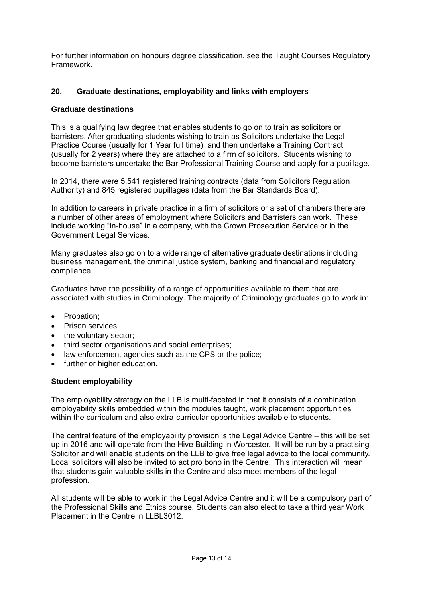For further information on honours degree classification, see the Taught Courses Regulatory Framework.

## **20. Graduate destinations, employability and links with employers**

### **Graduate destinations**

This is a qualifying law degree that enables students to go on to train as solicitors or barristers. After graduating students wishing to train as Solicitors undertake the Legal Practice Course (usually for 1 Year full time) and then undertake a Training Contract (usually for 2 years) where they are attached to a firm of solicitors. Students wishing to become barristers undertake the Bar Professional Training Course and apply for a pupillage.

In 2014, there were 5,541 registered training contracts (data from Solicitors Regulation Authority) and 845 registered pupillages (data from the Bar Standards Board).

In addition to careers in private practice in a firm of solicitors or a set of chambers there are a number of other areas of employment where Solicitors and Barristers can work. These include working "in-house" in a company, with the Crown Prosecution Service or in the Government Legal Services.

Many graduates also go on to a wide range of alternative graduate destinations including business management, the criminal justice system, banking and financial and regulatory compliance.

Graduates have the possibility of a range of opportunities available to them that are associated with studies in Criminology. The majority of Criminology graduates go to work in:

- Probation:
- Prison services:
- the voluntary sector;
- third sector organisations and social enterprises;
- law enforcement agencies such as the CPS or the police;
- further or higher education.

### **Student employability**

The employability strategy on the LLB is multi-faceted in that it consists of a combination employability skills embedded within the modules taught, work placement opportunities within the curriculum and also extra-curricular opportunities available to students.

The central feature of the employability provision is the Legal Advice Centre – this will be set up in 2016 and will operate from the Hive Building in Worcester. It will be run by a practising Solicitor and will enable students on the LLB to give free legal advice to the local community. Local solicitors will also be invited to act pro bono in the Centre. This interaction will mean that students gain valuable skills in the Centre and also meet members of the legal profession.

All students will be able to work in the Legal Advice Centre and it will be a compulsory part of the Professional Skills and Ethics course. Students can also elect to take a third year Work Placement in the Centre in LLBL3012.